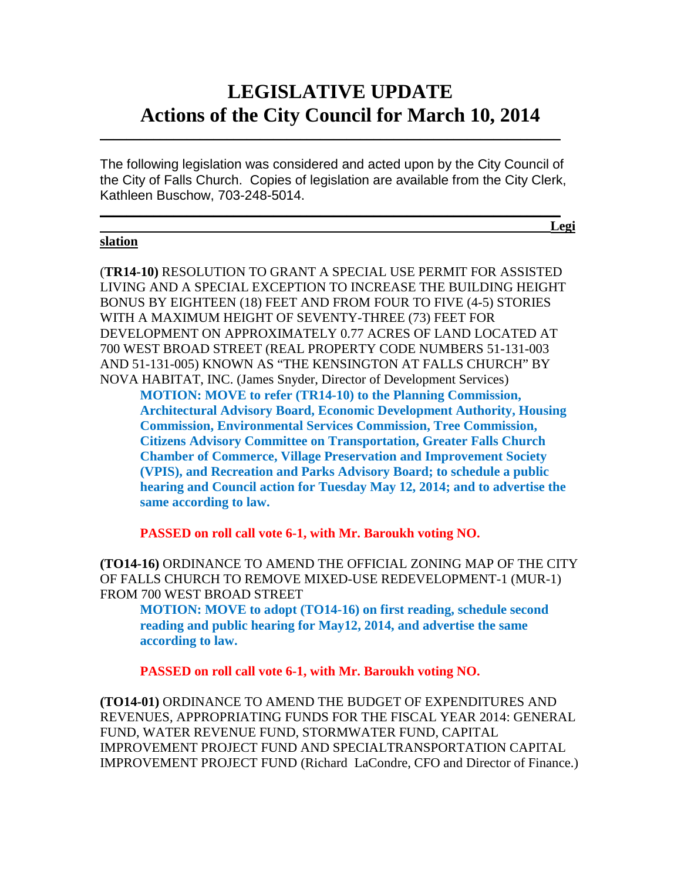# **LEGISLATIVE UPDATE Actions of the City Council for March 10, 2014**

The following legislation was considered and acted upon by the City Council of the City of Falls Church. Copies of legislation are available from the City Clerk, Kathleen Buschow, 703-248-5014.

 $\mathcal{L}_\text{max}$  and  $\mathcal{L}_\text{max}$  and  $\mathcal{L}_\text{max}$  and  $\mathcal{L}_\text{max}$  and  $\mathcal{L}_\text{max}$  and  $\mathcal{L}_\text{max}$ **Legi**

 $\mathcal{L}_\text{max}$  and  $\mathcal{L}_\text{max}$  and  $\mathcal{L}_\text{max}$  and  $\mathcal{L}_\text{max}$  and  $\mathcal{L}_\text{max}$  and  $\mathcal{L}_\text{max}$ 

#### **slation**

(**TR14-10)** RESOLUTION TO GRANT A SPECIAL USE PERMIT FOR ASSISTED LIVING AND A SPECIAL EXCEPTION TO INCREASE THE BUILDING HEIGHT BONUS BY EIGHTEEN (18) FEET AND FROM FOUR TO FIVE (4-5) STORIES WITH A MAXIMUM HEIGHT OF SEVENTY-THREE (73) FEET FOR DEVELOPMENT ON APPROXIMATELY 0.77 ACRES OF LAND LOCATED AT 700 WEST BROAD STREET (REAL PROPERTY CODE NUMBERS 51-131-003 AND 51-131-005) KNOWN AS "THE KENSINGTON AT FALLS CHURCH" BY NOVA HABITAT, INC. (James Snyder, Director of Development Services)

**MOTION: MOVE to refer (TR14-10) to the Planning Commission, Architectural Advisory Board, Economic Development Authority, Housing Commission, Environmental Services Commission, Tree Commission, Citizens Advisory Committee on Transportation, Greater Falls Church Chamber of Commerce, Village Preservation and Improvement Society (VPIS), and Recreation and Parks Advisory Board; to schedule a public hearing and Council action for Tuesday May 12, 2014; and to advertise the same according to law.**

**PASSED on roll call vote 6-1, with Mr. Baroukh voting NO.**

**(TO14-16)** ORDINANCE TO AMEND THE OFFICIAL ZONING MAP OF THE CITY OF FALLS CHURCH TO REMOVE MIXED-USE REDEVELOPMENT-1 (MUR-1) FROM 700 WEST BROAD STREET

**MOTION: MOVE to adopt (TO14-16) on first reading, schedule second reading and public hearing for May12, 2014, and advertise the same according to law.**

**PASSED on roll call vote 6-1, with Mr. Baroukh voting NO.**

**(TO14-01)** ORDINANCE TO AMEND THE BUDGET OF EXPENDITURES AND REVENUES, APPROPRIATING FUNDS FOR THE FISCAL YEAR 2014: GENERAL FUND, WATER REVENUE FUND, STORMWATER FUND, CAPITAL IMPROVEMENT PROJECT FUND AND SPECIALTRANSPORTATION CAPITAL IMPROVEMENT PROJECT FUND (Richard LaCondre, CFO and Director of Finance.)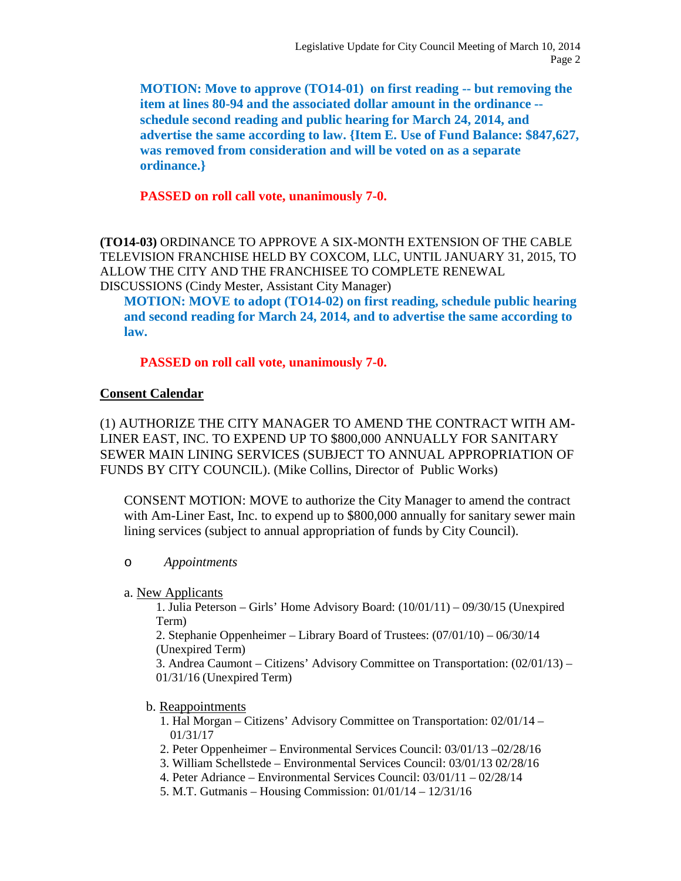**MOTION: Move to approve (TO14-01) on first reading -- but removing the item at lines 80-94 and the associated dollar amount in the ordinance - schedule second reading and public hearing for March 24, 2014, and advertise the same according to law. {Item E. Use of Fund Balance: \$847,627, was removed from consideration and will be voted on as a separate ordinance.}**

**PASSED on roll call vote, unanimously 7-0.**

**(TO14-03)** ORDINANCE TO APPROVE A SIX-MONTH EXTENSION OF THE CABLE TELEVISION FRANCHISE HELD BY COXCOM, LLC, UNTIL JANUARY 31, 2015, TO ALLOW THE CITY AND THE FRANCHISEE TO COMPLETE RENEWAL DISCUSSIONS (Cindy Mester, Assistant City Manager)

**MOTION: MOVE to adopt (TO14-02) on first reading, schedule public hearing and second reading for March 24, 2014, and to advertise the same according to law.**

**PASSED on roll call vote, unanimously 7-0.**

### **Consent Calendar**

(1) AUTHORIZE THE CITY MANAGER TO AMEND THE CONTRACT WITH AM-LINER EAST, INC. TO EXPEND UP TO \$800,000 ANNUALLY FOR SANITARY SEWER MAIN LINING SERVICES (SUBJECT TO ANNUAL APPROPRIATION OF FUNDS BY CITY COUNCIL). (Mike Collins, Director of Public Works)

CONSENT MOTION: MOVE to authorize the City Manager to amend the contract with Am-Liner East, Inc. to expend up to \$800,000 annually for sanitary sewer main lining services (subject to annual appropriation of funds by City Council).

#### o *Appointments*

a. New Applicants

1. Julia Peterson – Girls' Home Advisory Board: (10/01/11) – 09/30/15 (Unexpired Term)

2. Stephanie Oppenheimer – Library Board of Trustees: (07/01/10) – 06/30/14 (Unexpired Term)

3. Andrea Caumont – Citizens' Advisory Committee on Transportation: (02/01/13) – 01/31/16 (Unexpired Term)

#### b. Reappointments

1. Hal Morgan – Citizens' Advisory Committee on Transportation: 02/01/14 – 01/31/17

- 2. Peter Oppenheimer Environmental Services Council: 03/01/13 –02/28/16
- 3. William Schellstede Environmental Services Council: 03/01/13 02/28/16
- 4. Peter Adriance Environmental Services Council: 03/01/11 02/28/14
- 5. M.T. Gutmanis Housing Commission: 01/01/14 12/31/16